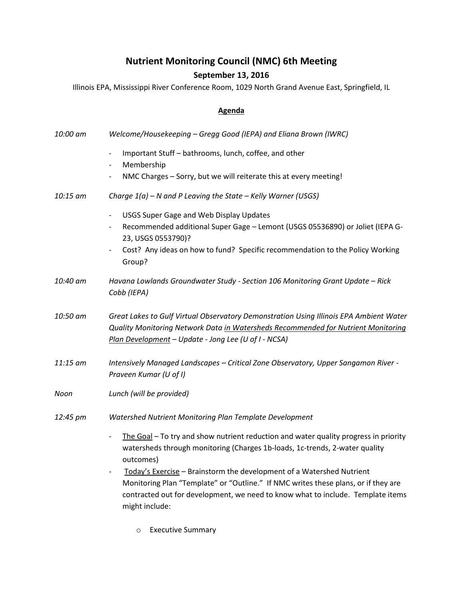## **Nutrient Monitoring Council (NMC) 6th Meeting**

## **September 13, 2016**

Illinois EPA, Mississippi River Conference Room, 1029 North Grand Avenue East, Springfield, IL

## **Agenda**

| 10:00 am | Welcome/Housekeeping - Gregg Good (IEPA) and Eliana Brown (IWRC)                                                                                                                                                                                                                                                                                                                                                                                                                                             |
|----------|--------------------------------------------------------------------------------------------------------------------------------------------------------------------------------------------------------------------------------------------------------------------------------------------------------------------------------------------------------------------------------------------------------------------------------------------------------------------------------------------------------------|
|          | Important Stuff - bathrooms, lunch, coffee, and other<br>$\overline{\phantom{a}}$<br>Membership<br>$\overline{\phantom{a}}$                                                                                                                                                                                                                                                                                                                                                                                  |
|          | NMC Charges - Sorry, but we will reiterate this at every meeting!<br>$\overline{\phantom{a}}$                                                                                                                                                                                                                                                                                                                                                                                                                |
| 10:15 am | Charge $1(a)$ – N and P Leaving the State – Kelly Warner (USGS)                                                                                                                                                                                                                                                                                                                                                                                                                                              |
|          | <b>USGS Super Gage and Web Display Updates</b><br>$\overline{\phantom{a}}$<br>Recommended additional Super Gage - Lemont (USGS 05536890) or Joliet (IEPA G-<br>$\overline{\phantom{a}}$<br>23, USGS 0553790)?<br>Cost? Any ideas on how to fund? Specific recommendation to the Policy Working<br>$\overline{\phantom{0}}$<br>Group?                                                                                                                                                                         |
| 10:40 am | Havana Lowlands Groundwater Study - Section 106 Monitoring Grant Update - Rick<br>Cobb (IEPA)                                                                                                                                                                                                                                                                                                                                                                                                                |
| 10:50 am | Great Lakes to Gulf Virtual Observatory Demonstration Using Illinois EPA Ambient Water<br>Quality Monitoring Network Data in Watersheds Recommended for Nutrient Monitoring<br>Plan Development - Update - Jong Lee (U of I - NCSA)                                                                                                                                                                                                                                                                          |
| 11:15 am | Intensively Managed Landscapes - Critical Zone Observatory, Upper Sangamon River -<br>Praveen Kumar (U of I)                                                                                                                                                                                                                                                                                                                                                                                                 |
| Noon     | Lunch (will be provided)                                                                                                                                                                                                                                                                                                                                                                                                                                                                                     |
| 12:45 pm | Watershed Nutrient Monitoring Plan Template Development                                                                                                                                                                                                                                                                                                                                                                                                                                                      |
|          | The Goal - To try and show nutrient reduction and water quality progress in priority<br>$\overline{\phantom{0}}$<br>watersheds through monitoring (Charges 1b-loads, 1c-trends, 2-water quality<br>outcomes)<br>Today's Exercise - Brainstorm the development of a Watershed Nutrient<br>$\overline{\phantom{a}}$<br>Monitoring Plan "Template" or "Outline." If NMC writes these plans, or if they are<br>contracted out for development, we need to know what to include. Template items<br>might include: |

o Executive Summary